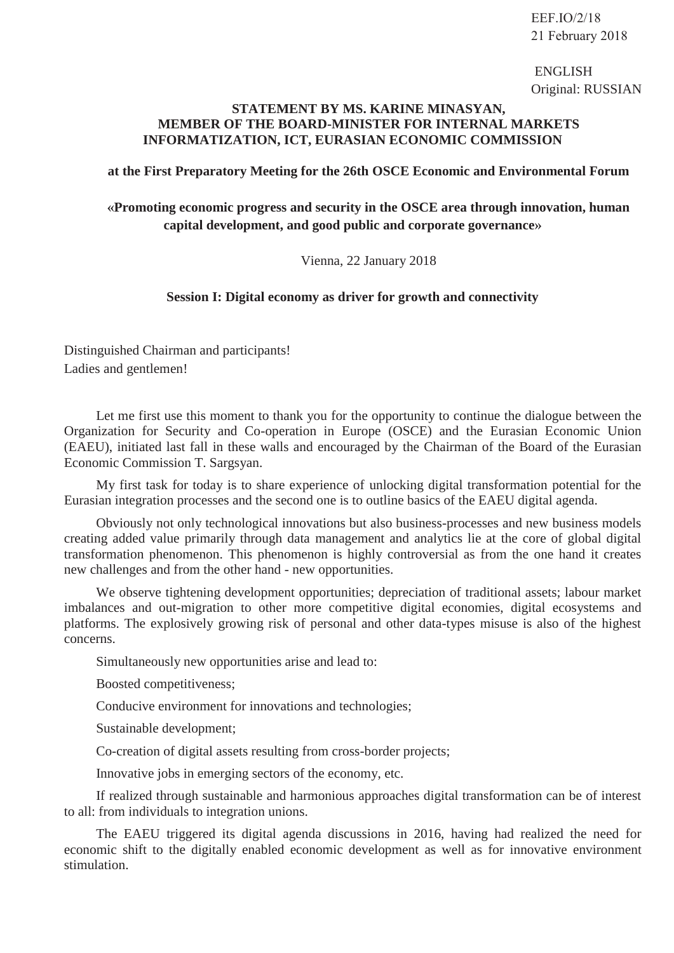ENGLISH Original: RUSSIAN

## **STATEMENT BY MS. KARINE MINASYAN, MEMBER OF THE BOARD-MINISTER FOR INTERNAL MARKETS INFORMATIZATION, ICT, EURASIAN ECONOMIC COMMISSION**

## **at the First Preparatory Meeting for the 26th OSCE Economic and Environmental Forum**

## **«Promoting economic progress and security in the OSCE area through innovation, human capital development, and good public and corporate governance»**

Vienna, 22 January 2018

## **Session I: Digital economy as driver for growth and connectivity**

Distinguished Chairman and participants! Ladies and gentlemen!

Let me first use this moment to thank you for the opportunity to continue the dialogue between the Organization for Security and Co-operation in Europe (OSCE) and the Eurasian Economic Union (EAEU), initiated last fall in these walls and encouraged by the Chairman of the Board of the Eurasian Economic Commission T. Sargsyan.

My first task for today is to share experience of unlocking digital transformation potential for the Eurasian integration processes and the second one is to outline basics of the EAEU digital agenda.

Obviously not only technological innovations but also business-processes and new business models creating added value primarily through data management and analytics lie at the core of global digital transformation phenomenon. This phenomenon is highly controversial as from the one hand it creates new challenges and from the other hand - new opportunities.

We observe tightening development opportunities; depreciation of traditional assets; labour market imbalances and out-migration to other more competitive digital economies, digital ecosystems and platforms. The explosively growing risk of personal and other data-types misuse is also of the highest concerns.

Simultaneously new opportunities arise and lead to:

Boosted competitiveness;

Conducive environment for innovations and technologies;

Sustainable development;

Co-creation of digital assets resulting from cross-border projects;

Innovative jobs in emerging sectors of the economy, etc.

If realized through sustainable and harmonious approaches digital transformation can be of interest to all: from individuals to integration unions.

The EAEU triggered its digital agenda discussions in 2016, having had realized the need for economic shift to the digitally enabled economic development as well as for innovative environment stimulation.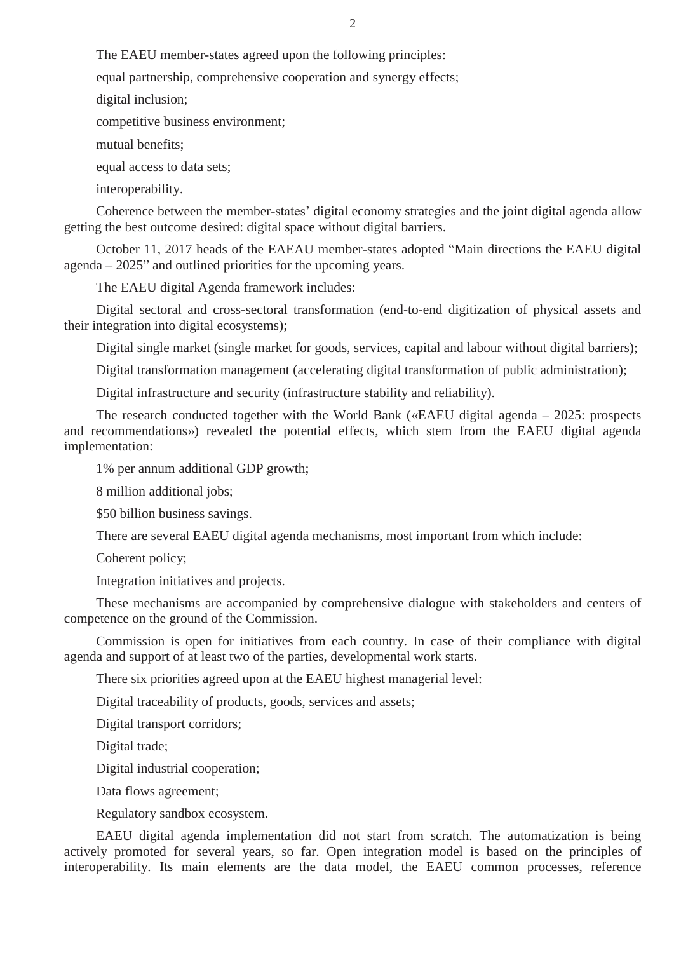The EAEU member-states agreed upon the following principles:

equal partnership, comprehensive cooperation and synergy effects;

digital inclusion;

competitive business environment;

mutual benefits;

equal access to data sets;

interoperability.

Coherence between the member-states' digital economy strategies and the joint digital agenda allow getting the best outcome desired: digital space without digital barriers.

October 11, 2017 heads of the EAEAU member-states adopted "Main directions the EAEU digital agenda – 2025" and outlined priorities for the upcoming years.

The EAEU digital Agenda framework includes:

Digital sectoral and cross-sectoral transformation (end-to-end digitization of physical assets and their integration into digital ecosystems);

Digital single market (single market for goods, services, capital and labour without digital barriers);

Digital transformation management (accelerating digital transformation of public administration);

Digital infrastructure and security (infrastructure stability and reliability).

The research conducted together with the World Bank («EAEU digital agenda – 2025: prospects and recommendations») revealed the potential effects, which stem from the EAEU digital agenda implementation:

1% per annum additional GDP growth;

8 million additional jobs;

\$50 billion business savings.

There are several EAEU digital agenda mechanisms, most important from which include:

Coherent policy;

Integration initiatives and projects.

These mechanisms are accompanied by comprehensive dialogue with stakeholders and centers of competence on the ground of the Commission.

Commission is open for initiatives from each country. In case of their compliance with digital agenda and support of at least two of the parties, developmental work starts.

There six priorities agreed upon at the EAEU highest managerial level:

Digital traceability of products, goods, services and assets;

Digital transport corridors;

Digital trade;

Digital industrial cooperation;

Data flows agreement;

Regulatory sandbox ecosystem.

EAEU digital agenda implementation did not start from scratch. The automatization is being actively promoted for several years, so far. Open integration model is based on the principles of interoperability. Its main elements are the data model, the EAEU common processes, reference